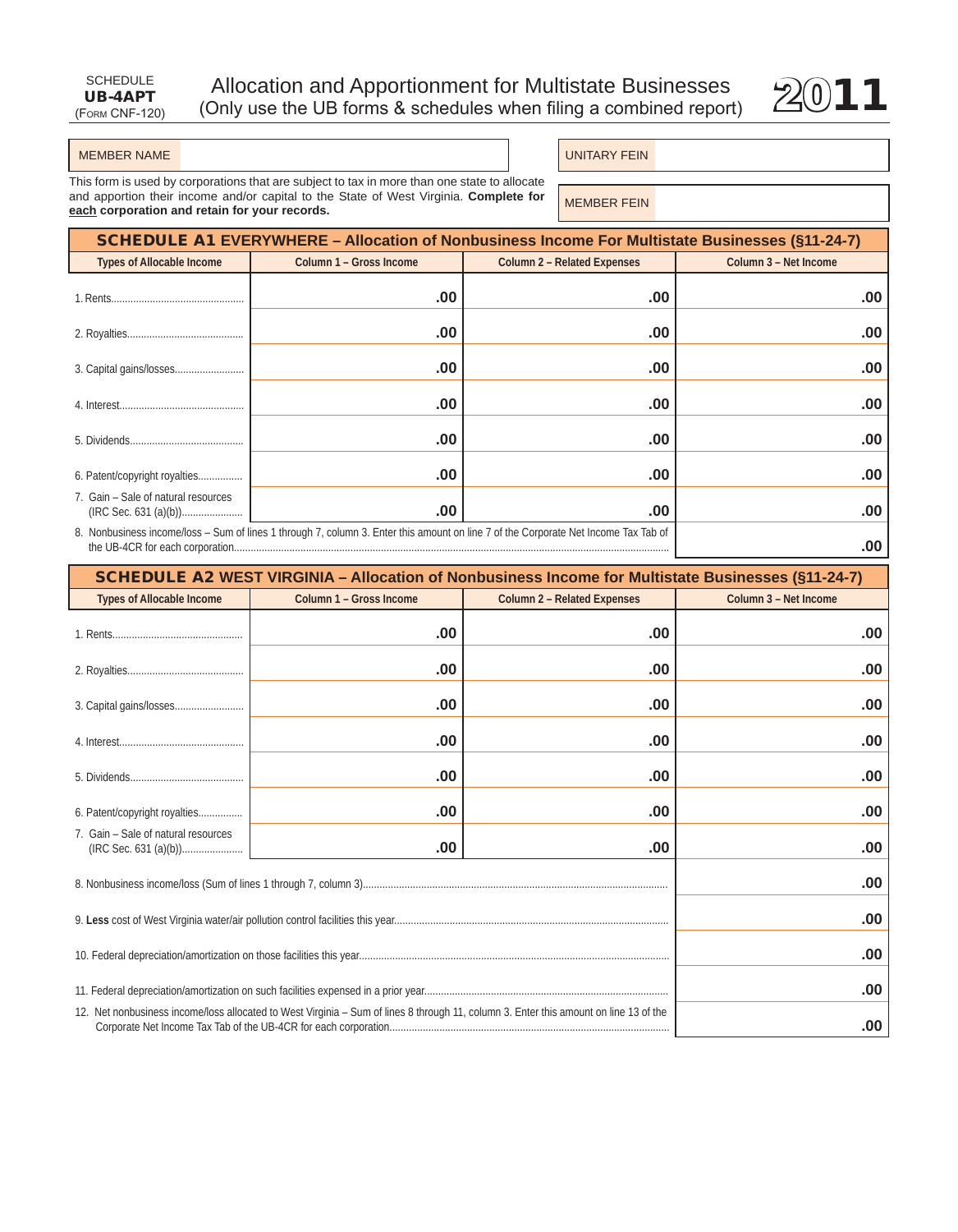

#### MEMBER NAME

**UNITARY FEIN** 

This form is used by corporations that are subject to tax in more than one state to allocate and apportion their income and/or capital to the State of West Virginia. Complete for each corporation and retain for your records.

MEMBER FEIN

| (§11-24-7) SCHEDULE A1 EVERYWHERE – Allocation of Nonbusiness Income For Multistate Businesses |                                                                                                                                     |                                    |                       |  |
|------------------------------------------------------------------------------------------------|-------------------------------------------------------------------------------------------------------------------------------------|------------------------------------|-----------------------|--|
| <b>Types of Allocable Income</b>                                                               | Column 1 - Gross Income                                                                                                             | <b>Column 2 - Related Expenses</b> | Column 3 - Net Income |  |
|                                                                                                | .00                                                                                                                                 | .00                                | .00                   |  |
|                                                                                                | .00                                                                                                                                 | .00                                | .00.                  |  |
|                                                                                                | .00                                                                                                                                 | .00                                | .00.                  |  |
|                                                                                                | .00                                                                                                                                 | .00                                | .00                   |  |
|                                                                                                | .00                                                                                                                                 | .00                                | .00.                  |  |
| 6. Patent/copyright royalties                                                                  | .00                                                                                                                                 | .00                                | .00.                  |  |
| 7. Gain – Sale of natural resources                                                            | .00                                                                                                                                 | .00                                | .00                   |  |
|                                                                                                | 8. Nonbusiness income/loss - Sum of lines 1 through 7, column 3. Enter this amount on line 7 of the Corporate Net Income Tax Tab of |                                    | .00.                  |  |

| SCHEDULE A2 WEST VIRGINIA - Allocation of Nonbusiness Income for Multistate Businesses (§11-24-7)                                     |                         |                                    |                       |
|---------------------------------------------------------------------------------------------------------------------------------------|-------------------------|------------------------------------|-----------------------|
| <b>Types of Allocable Income</b>                                                                                                      | Column 1 - Gross Income | <b>Column 2 - Related Expenses</b> | Column 3 - Net Income |
|                                                                                                                                       | .00                     | .00                                | .00                   |
|                                                                                                                                       | .00                     | .00                                | .00                   |
|                                                                                                                                       | .00                     | .00                                | .00                   |
|                                                                                                                                       | .00                     | .00                                | .00                   |
|                                                                                                                                       | .00                     | .00                                | .00                   |
| 6. Patent/copyright royalties                                                                                                         | .00                     | .00                                | .00                   |
| 7. Gain - Sale of natural resources                                                                                                   | .00                     | .00                                | .00                   |
|                                                                                                                                       |                         |                                    | .00                   |
|                                                                                                                                       |                         |                                    | .00                   |
|                                                                                                                                       |                         |                                    | .00                   |
|                                                                                                                                       |                         |                                    | .00                   |
| 12. Net nonbusiness income/loss allocated to West Virginia - Sum of lines 8 through 11, column 3. Enter this amount on line 13 of the |                         |                                    | .00                   |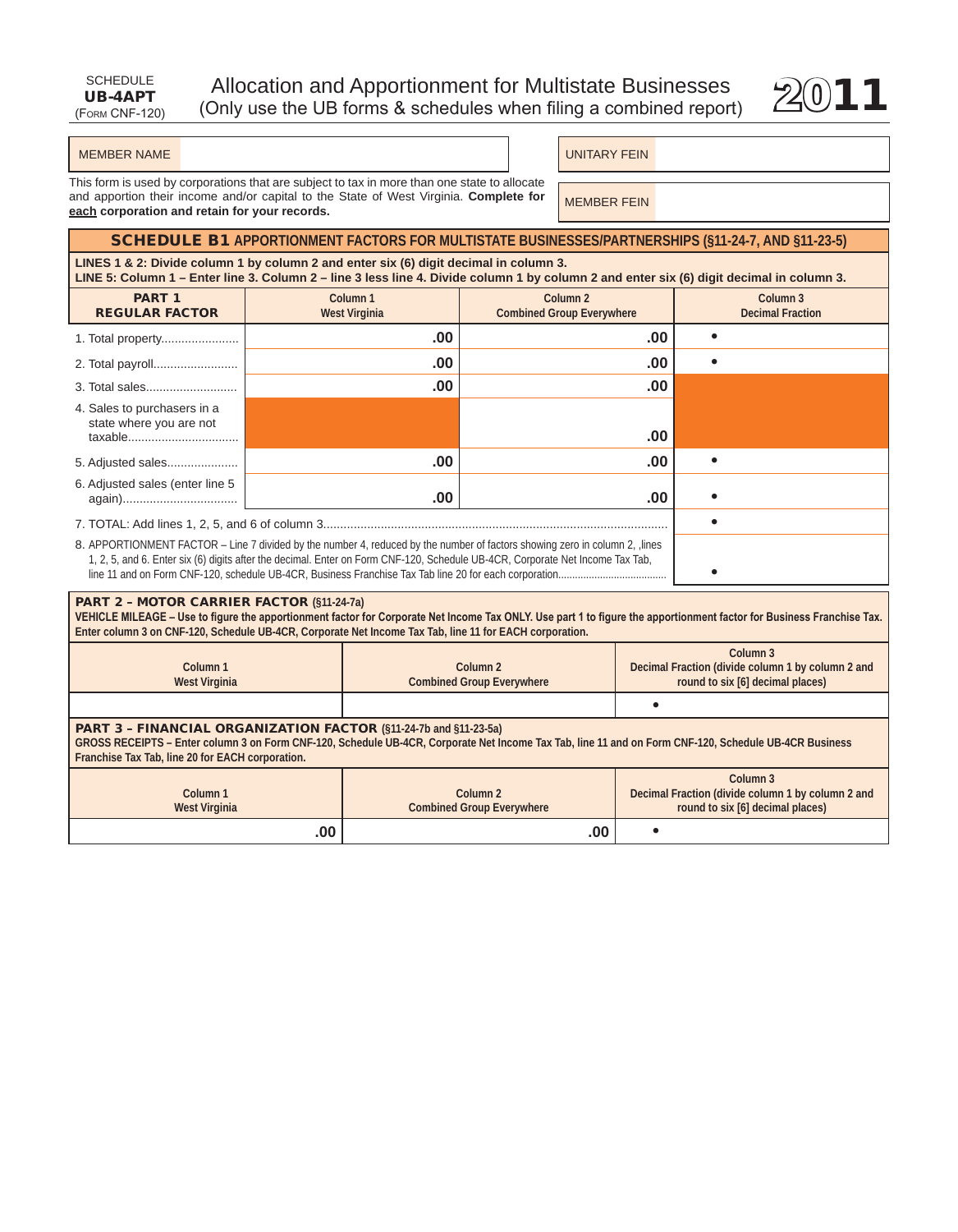

### MEMBER NAME UNITARY FEIN

This form is used by corporations that are subject to tax in more than one state to allocate and apportion their income and/or capital to the State of West Virginia. **Complete for each corporation and retain for your records.**

MEMBER FEIN

# SCHedULe B1 **APPORTIOnmEnT fACTORS fOR mUlTISTATE BUSInESSES/PARTnERShIPS (§11-24-7, AnD §11-23-5)**

**LiNES 1 & 2: Divide column 1 by column 2 and enter six (6) digit decimal in column 3. LiNE 5: Column 1 – Enter line 3. Column 2 – line 3 less line 4. Divide column 1 by column 2 and enter six (6) digit decimal in column 3.**

| בחים עד שטעוווווי בחושר וווע ט. סטועוווור ב - ווווע ט וטטט ווווע ד. בחיושט סטועוווור ב אין שטעוווור ב שווע טווער טוא                                                                                                                                        |                                             |                                                         |  |                                     |
|-------------------------------------------------------------------------------------------------------------------------------------------------------------------------------------------------------------------------------------------------------------|---------------------------------------------|---------------------------------------------------------|--|-------------------------------------|
| <b>PART 1</b><br><b>REGULAR FACTOR</b>                                                                                                                                                                                                                      | Column <sub>1</sub><br><b>West Virginia</b> | Column <sub>2</sub><br><b>Combined Group Everywhere</b> |  | Column 3<br><b>Decimal Fraction</b> |
| 1. Total property                                                                                                                                                                                                                                           | .00                                         | .00                                                     |  |                                     |
|                                                                                                                                                                                                                                                             | .00                                         | .00                                                     |  |                                     |
|                                                                                                                                                                                                                                                             | .00                                         | .00                                                     |  |                                     |
| 4. Sales to purchasers in a<br>state where you are not<br>taxable                                                                                                                                                                                           |                                             | .00                                                     |  |                                     |
| 5. Adjusted sales                                                                                                                                                                                                                                           | .00                                         | .00                                                     |  |                                     |
| 6. Adjusted sales (enter line 5                                                                                                                                                                                                                             | .00                                         | .00                                                     |  |                                     |
|                                                                                                                                                                                                                                                             |                                             |                                                         |  |                                     |
| 8. APPORTIONMENT FACTOR – Line 7 divided by the number 4, reduced by the number of factors showing zero in column 2, lines<br>1, 2, 5, and 6. Enter six (6) digits after the decimal. Enter on Form CNF-120, Schedule UB-4CR, Corporate Net Income Tax Tab, |                                             |                                                         |  |                                     |

### Part 2 – MOtOr CarrIer FaCtOr **(§11-24-7a)**

**VEHICLE MILEAGE – Use to figure the apportionment factor for Corporate Net Income Tax ONLY. Use part 1 to figure the apportionment factor for Business Franchise Tax.**  Enter column 3 on CNF-120, Schedule UB-4CR, Corporate Net Income Tax Tab, line 11 for EACH corporation.

|               |                                  | Column 3                                          |
|---------------|----------------------------------|---------------------------------------------------|
| Column 1      | Column 2                         | Decimal Fraction (divide column 1 by column 2 and |
| West Virginia | <b>Combined Group Everywhere</b> | round to six [6] decimal places)                  |
|               |                                  |                                                   |

## Part 3 – FINaNCIaL OrGaNIZatION FaCtOr **(§11-24-7b and §11-23-5a)**

**GROSS RECEIPTS – Enter column 3 on form Cnf-120, Schedule UB-4CR, Corporate net Income Tax Tab, line 11 and on form Cnf-120, Schedule UB-4CR Business franchise Tax Tab, line 20 for EACh corporation.**

| Column 1<br>West Virginia | Column 2<br><b>Combined Group Everywhere</b> | Column 3<br>Decimal Fraction (divide column 1 by column 2 and<br>round to six [6] decimal places) |
|---------------------------|----------------------------------------------|---------------------------------------------------------------------------------------------------|
| .00 <sub>1</sub>          | .00                                          |                                                                                                   |